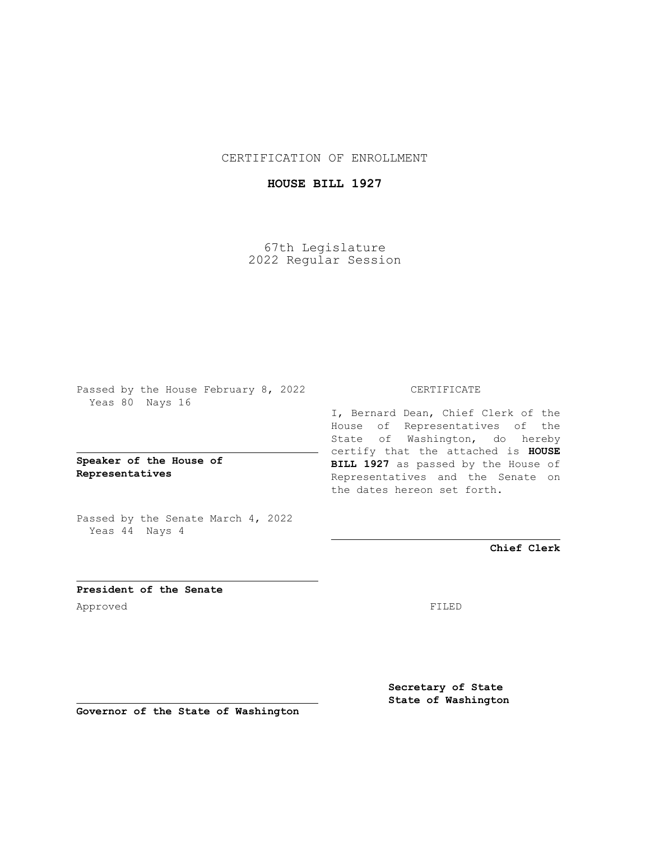CERTIFICATION OF ENROLLMENT

## **HOUSE BILL 1927**

67th Legislature 2022 Regular Session

Passed by the House February 8, 2022 Yeas 80 Nays 16

**Speaker of the House of Representatives**

Passed by the Senate March 4, 2022 Yeas 44 Nays 4

## CERTIFICATE

I, Bernard Dean, Chief Clerk of the House of Representatives of the State of Washington, do hereby certify that the attached is **HOUSE BILL 1927** as passed by the House of Representatives and the Senate on the dates hereon set forth.

**Chief Clerk**

**President of the Senate** Approved FILED

**Secretary of State State of Washington**

**Governor of the State of Washington**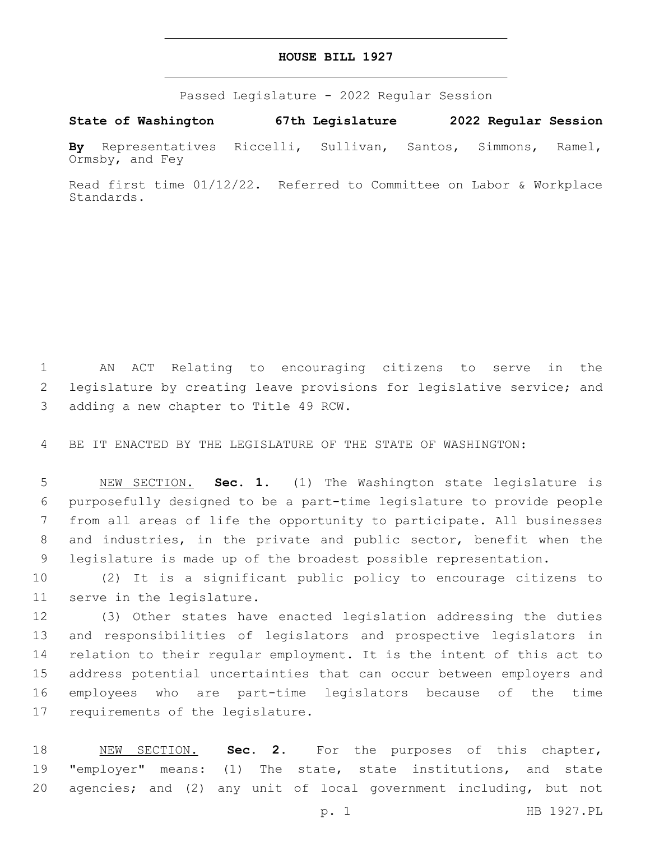## **HOUSE BILL 1927**

Passed Legislature - 2022 Regular Session

**State of Washington 67th Legislature 2022 Regular Session**

**By** Representatives Riccelli, Sullivan, Santos, Simmons, Ramel, Ormsby, and Fey

Read first time 01/12/22. Referred to Committee on Labor & Workplace Standards.

 AN ACT Relating to encouraging citizens to serve in the legislature by creating leave provisions for legislative service; and 3 adding a new chapter to Title 49 RCW.

BE IT ENACTED BY THE LEGISLATURE OF THE STATE OF WASHINGTON:

 NEW SECTION. **Sec. 1.** (1) The Washington state legislature is purposefully designed to be a part-time legislature to provide people from all areas of life the opportunity to participate. All businesses and industries, in the private and public sector, benefit when the legislature is made up of the broadest possible representation.

 (2) It is a significant public policy to encourage citizens to 11 serve in the legislature.

 (3) Other states have enacted legislation addressing the duties and responsibilities of legislators and prospective legislators in relation to their regular employment. It is the intent of this act to address potential uncertainties that can occur between employers and employees who are part-time legislators because of the time 17 requirements of the legislature.

 NEW SECTION. **Sec. 2.** For the purposes of this chapter, "employer" means: (1) The state, state institutions, and state agencies; and (2) any unit of local government including, but not